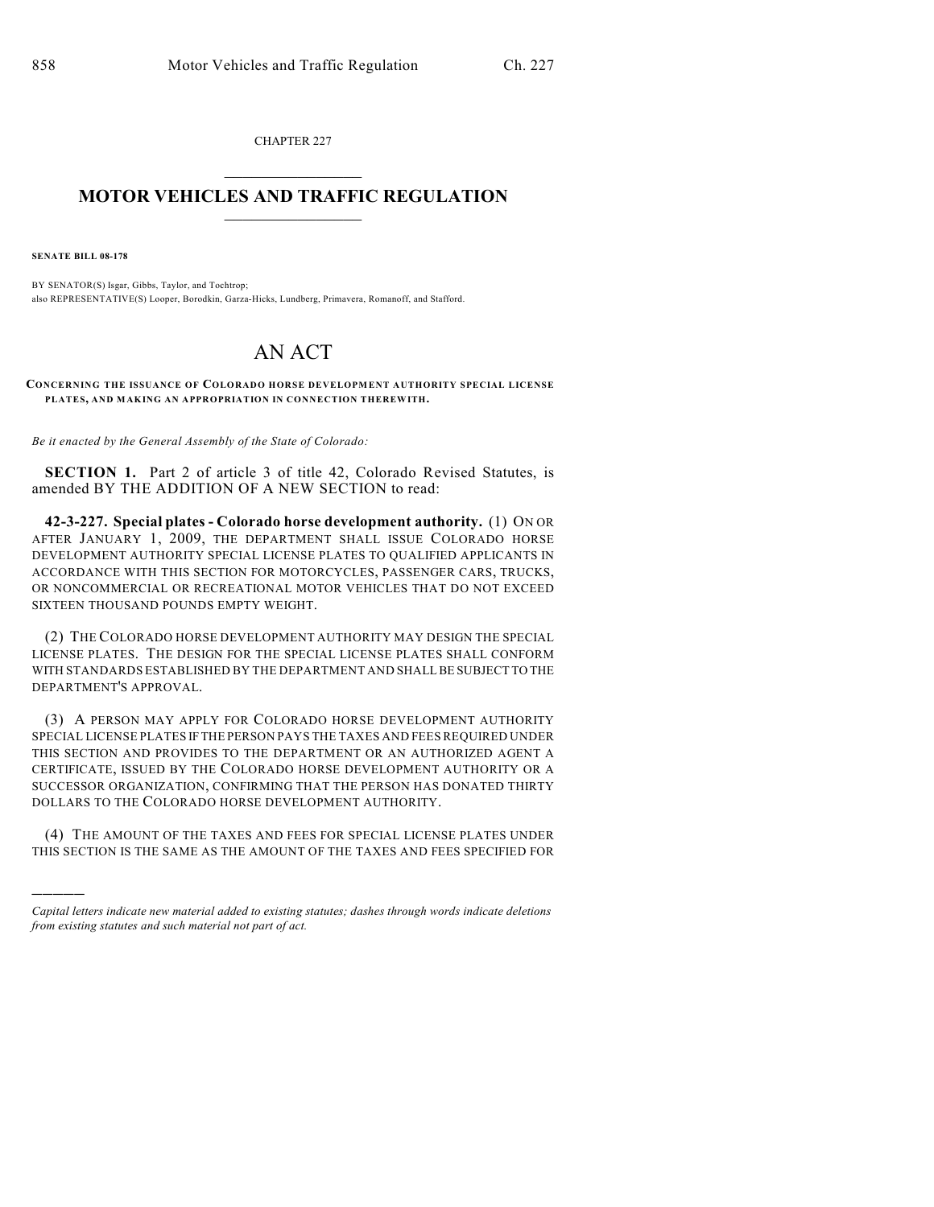CHAPTER 227  $\overline{\phantom{a}}$  . The set of the set of the set of the set of the set of the set of the set of the set of the set of the set of the set of the set of the set of the set of the set of the set of the set of the set of the set o

## **MOTOR VEHICLES AND TRAFFIC REGULATION**  $\frac{1}{2}$  ,  $\frac{1}{2}$  ,  $\frac{1}{2}$  ,  $\frac{1}{2}$  ,  $\frac{1}{2}$  ,  $\frac{1}{2}$  ,  $\frac{1}{2}$  ,  $\frac{1}{2}$

**SENATE BILL 08-178**

)))))

BY SENATOR(S) Isgar, Gibbs, Taylor, and Tochtrop; also REPRESENTATIVE(S) Looper, Borodkin, Garza-Hicks, Lundberg, Primavera, Romanoff, and Stafford.

## AN ACT

**CONCERNING THE ISSUANCE OF COLORADO HORSE DEVELOPM ENT AUTHORITY SPECIAL LICENSE PLATES, AND MAKING AN APPROPRIATION IN CONNECTION THEREWITH.**

*Be it enacted by the General Assembly of the State of Colorado:*

**SECTION 1.** Part 2 of article 3 of title 42, Colorado Revised Statutes, is amended BY THE ADDITION OF A NEW SECTION to read:

**42-3-227. Special plates - Colorado horse development authority.** (1) ON OR AFTER JANUARY 1, 2009, THE DEPARTMENT SHALL ISSUE COLORADO HORSE DEVELOPMENT AUTHORITY SPECIAL LICENSE PLATES TO QUALIFIED APPLICANTS IN ACCORDANCE WITH THIS SECTION FOR MOTORCYCLES, PASSENGER CARS, TRUCKS, OR NONCOMMERCIAL OR RECREATIONAL MOTOR VEHICLES THAT DO NOT EXCEED SIXTEEN THOUSAND POUNDS EMPTY WEIGHT.

(2) THE COLORADO HORSE DEVELOPMENT AUTHORITY MAY DESIGN THE SPECIAL LICENSE PLATES. THE DESIGN FOR THE SPECIAL LICENSE PLATES SHALL CONFORM WITH STANDARDS ESTABLISHED BY THE DEPARTMENT AND SHALL BE SUBJECT TO THE DEPARTMENT'S APPROVAL.

(3) A PERSON MAY APPLY FOR COLORADO HORSE DEVELOPMENT AUTHORITY SPECIAL LICENSE PLATES IF THE PERSON PAYS THE TAXES AND FEES REQUIRED UNDER THIS SECTION AND PROVIDES TO THE DEPARTMENT OR AN AUTHORIZED AGENT A CERTIFICATE, ISSUED BY THE COLORADO HORSE DEVELOPMENT AUTHORITY OR A SUCCESSOR ORGANIZATION, CONFIRMING THAT THE PERSON HAS DONATED THIRTY DOLLARS TO THE COLORADO HORSE DEVELOPMENT AUTHORITY.

(4) THE AMOUNT OF THE TAXES AND FEES FOR SPECIAL LICENSE PLATES UNDER THIS SECTION IS THE SAME AS THE AMOUNT OF THE TAXES AND FEES SPECIFIED FOR

*Capital letters indicate new material added to existing statutes; dashes through words indicate deletions from existing statutes and such material not part of act.*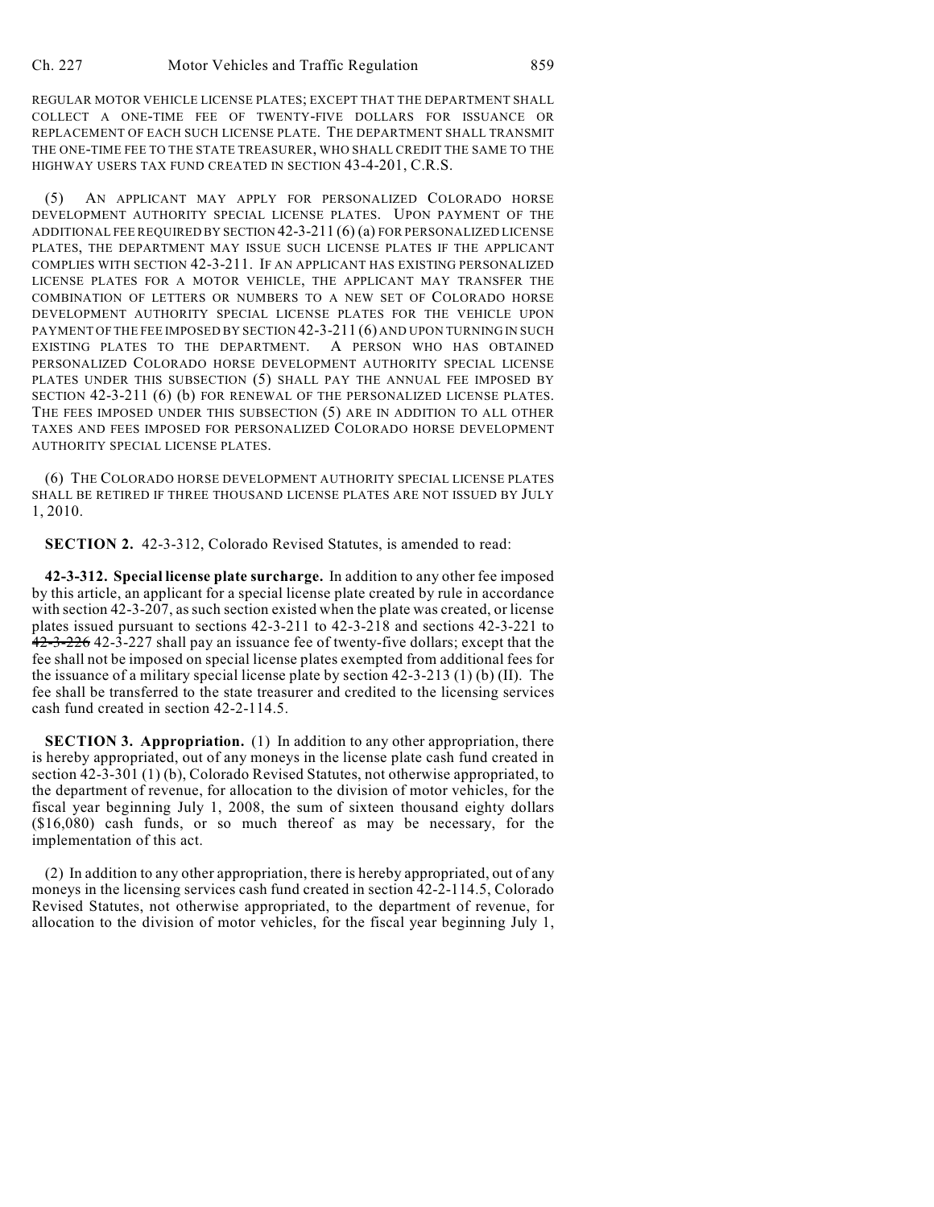REGULAR MOTOR VEHICLE LICENSE PLATES; EXCEPT THAT THE DEPARTMENT SHALL COLLECT A ONE-TIME FEE OF TWENTY-FIVE DOLLARS FOR ISSUANCE OR REPLACEMENT OF EACH SUCH LICENSE PLATE. THE DEPARTMENT SHALL TRANSMIT THE ONE-TIME FEE TO THE STATE TREASURER, WHO SHALL CREDIT THE SAME TO THE HIGHWAY USERS TAX FUND CREATED IN SECTION 43-4-201, C.R.S.

(5) AN APPLICANT MAY APPLY FOR PERSONALIZED COLORADO HORSE DEVELOPMENT AUTHORITY SPECIAL LICENSE PLATES. UPON PAYMENT OF THE ADDITIONAL FEE REQUIRED BY SECTION 42-3-211 (6) (a) FOR PERSONALIZED LICENSE PLATES, THE DEPARTMENT MAY ISSUE SUCH LICENSE PLATES IF THE APPLICANT COMPLIES WITH SECTION 42-3-211. IF AN APPLICANT HAS EXISTING PERSONALIZED LICENSE PLATES FOR A MOTOR VEHICLE, THE APPLICANT MAY TRANSFER THE COMBINATION OF LETTERS OR NUMBERS TO A NEW SET OF COLORADO HORSE DEVELOPMENT AUTHORITY SPECIAL LICENSE PLATES FOR THE VEHICLE UPON PAYMENT OF THE FEE IMPOSED BY SECTION 42-3-211 (6) AND UPON TURNING IN SUCH EXISTING PLATES TO THE DEPARTMENT. A PERSON WHO HAS OBTAINED PERSONALIZED COLORADO HORSE DEVELOPMENT AUTHORITY SPECIAL LICENSE PLATES UNDER THIS SUBSECTION (5) SHALL PAY THE ANNUAL FEE IMPOSED BY SECTION 42-3-211 (6) (b) FOR RENEWAL OF THE PERSONALIZED LICENSE PLATES. THE FEES IMPOSED UNDER THIS SUBSECTION (5) ARE IN ADDITION TO ALL OTHER TAXES AND FEES IMPOSED FOR PERSONALIZED COLORADO HORSE DEVELOPMENT AUTHORITY SPECIAL LICENSE PLATES.

(6) THE COLORADO HORSE DEVELOPMENT AUTHORITY SPECIAL LICENSE PLATES SHALL BE RETIRED IF THREE THOUSAND LICENSE PLATES ARE NOT ISSUED BY JULY 1, 2010.

**SECTION 2.** 42-3-312, Colorado Revised Statutes, is amended to read:

**42-3-312. Special license plate surcharge.** In addition to any other fee imposed by this article, an applicant for a special license plate created by rule in accordance with section 42-3-207, as such section existed when the plate was created, or license plates issued pursuant to sections 42-3-211 to 42-3-218 and sections 42-3-221 to 42-3-226 42-3-227 shall pay an issuance fee of twenty-five dollars; except that the fee shall not be imposed on special license plates exempted from additional fees for the issuance of a military special license plate by section 42-3-213 (1) (b) (II). The fee shall be transferred to the state treasurer and credited to the licensing services cash fund created in section 42-2-114.5.

**SECTION 3. Appropriation.** (1) In addition to any other appropriation, there is hereby appropriated, out of any moneys in the license plate cash fund created in section 42-3-301 (1) (b), Colorado Revised Statutes, not otherwise appropriated, to the department of revenue, for allocation to the division of motor vehicles, for the fiscal year beginning July 1, 2008, the sum of sixteen thousand eighty dollars (\$16,080) cash funds, or so much thereof as may be necessary, for the implementation of this act.

(2) In addition to any other appropriation, there is hereby appropriated, out of any moneys in the licensing services cash fund created in section 42-2-114.5, Colorado Revised Statutes, not otherwise appropriated, to the department of revenue, for allocation to the division of motor vehicles, for the fiscal year beginning July 1,